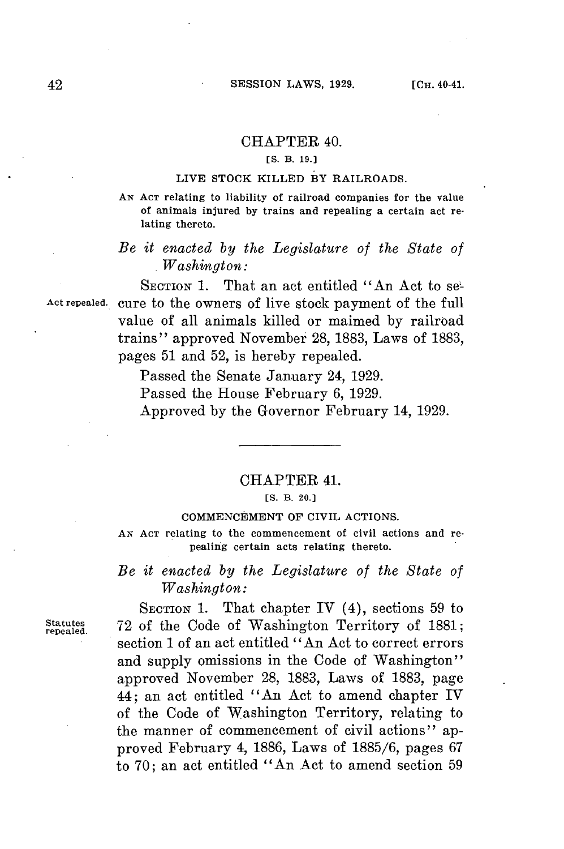## CHAPTER 40.

## **[S. B. 19.]**

## **LIVE STOCK KILLED BY RAILROADS.**

**AN ACT relating to liability of railroad companies for the value of animals injured by trains and repealing a certain act relating thereto.**

# *Be it enacted by the Legislature of the State of . Washington:*

SECTION 1. That an act entitled "An Act to se-**Act repealed.** cure to the owners **of** live stock payment of the full value of all animals killed or maimed **by** railroad trains" approved November 28, **1883,** Laws of **1883,** pages **51** and **52,** is hereby repealed.

Passed the Senate January 24, **1929.**

Passed the House February **6, 1929.**

Approved **by** the Governor February 14, **1929.**

### CHAPTER 41.

### **[S. B. 20.)**

### **COMMENCEMENT OF CIVIL ACTIONS.**

**AN ACT relating to the commencement of civil actions and repealing certain acts relating thereto.**

## *Be it enacted by the Legislature of the State of Washington:*

**SECTION 1.** That chapter IV (4), sections **59** to rpaled. **72** of the Code of Washington Territory of **1881;** section 1 of an act entitled "An Act to correct errors and supply omissions in the Code of Washington" approved November 28, **1883,** Laws of **1883,** page 44; an act entitled "An Act to amend chapter IV of the Code of Washington Territory, relating to the manner of commencement of civil actions" approved February 4, **1886,** Laws of **1885/6,** pages **<sup>67</sup>** to **70;** an act entitled "An Act to amend section **59**